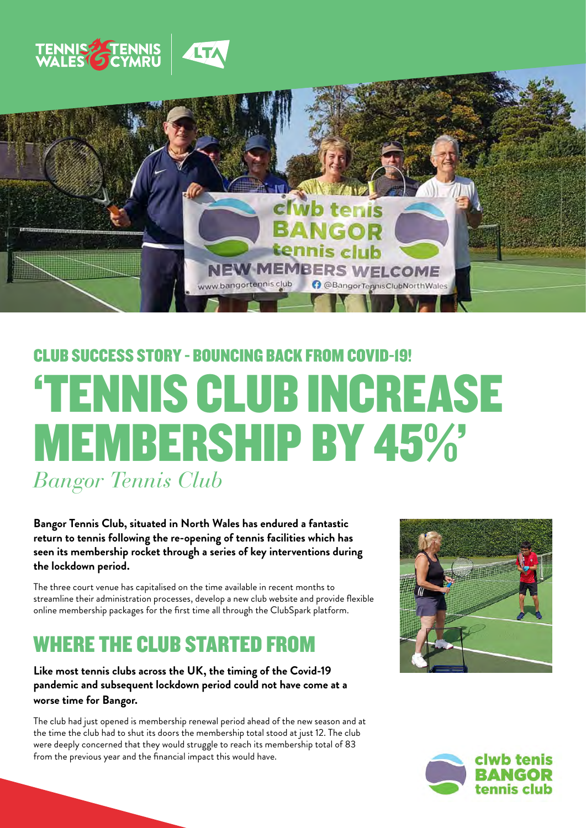



# *Bangor Tennis Club* 'TENNIS CLUB INCREASE MEMBERSHIP BY 45%' CLUB SUCCESS STORY - BOUNCING BACK FROM COVID-19!

**Bangor Tennis Club, situated in North Wales has endured a fantastic return to tennis following the re-opening of tennis facilities which has seen its membership rocket through a series of key interventions during the lockdown period.**

The three court venue has capitalised on the time available in recent months to streamline their administration processes, develop a new club website and provide flexible online membership packages for the first time all through the ClubSpark platform.

#### WHERE THE CLUB STARTED FROM

#### **Like most tennis clubs across the UK, the timing of the Covid-19 pandemic and subsequent lockdown period could not have come at a worse time for Bangor.**

The club had just opened is membership renewal period ahead of the new season and at the time the club had to shut its doors the membership total stood at just 12. The club were deeply concerned that they would struggle to reach its membership total of 83 from the previous year and the financial impact this would have.